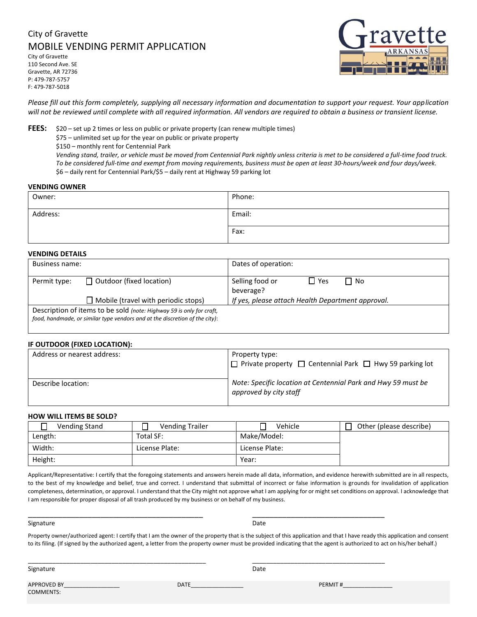## City of Gravette MOBILE VENDING PERMIT APPLICATION

City of Gravette 110 Second Ave. SE Gravette, AR 72736 P: 479-787-5757 F: 479-787-5018



*Please fill out this form completely, supplying all necessary information and documentation to support your request. Your application will not be reviewed until complete with all required information. All vendors are required to obtain a business or transient license.*

**FEES:** \$20 – set up 2 times or less on public or private property (can renew multiple times)

\$75 – unlimited set up for the year on public or private property

\$150 – monthly rent for Centennial Park

*Vending stand, trailer, or vehicle must be moved from Centennial Park nightly unless criteria is met to be considered a full-time food truck. To be considered full-time and exempt from moving requirements, business must be open at least 30-hours/week and four days/week.* \$6 – daily rent for Centennial Park/\$5 – daily rent at Highway 59 parking lot

#### **VENDING OWNER**

| Owner:   | Phone: |
|----------|--------|
| Address: | Email: |
|          | Fax:   |

## **VENDING DETAILS**

| Business name:                                                                                                                                      |                                            | Dates of operation:                                     |  |
|-----------------------------------------------------------------------------------------------------------------------------------------------------|--------------------------------------------|---------------------------------------------------------|--|
| Permit type:                                                                                                                                        | $\Box$ Outdoor (fixed location)            | $\Box$ Yes<br>Selling food or<br>$\Box$ No<br>beverage? |  |
|                                                                                                                                                     | $\Box$ Mobile (travel with periodic stops) | If yes, please attach Health Department approval.       |  |
| Description of items to be sold (note: Highway 59 is only for craft,<br>food, handmade, or similar type vendors and at the discretion of the city): |                                            |                                                         |  |

## **IF OUTDOOR (FIXED LOCATION):**

| Address or nearest address: | Property type:<br>$\Box$ Private property $\Box$ Centennial Park $\Box$ Hwy 59 parking lot |
|-----------------------------|--------------------------------------------------------------------------------------------|
| Describe location:          | Note: Specific location at Centennial Park and Hwy 59 must be<br>approved by city staff    |

## **HOW WILL ITEMS BE SOLD?**

| <b>Vending Stand</b> | <b>Vending Trailer</b> | Vehicle        | Other (please describe) |
|----------------------|------------------------|----------------|-------------------------|
| Length:              | Total SF:              | Make/Model:    |                         |
| Width:               | License Plate:         | License Plate: |                         |
| Height:              |                        | Year:          |                         |

Applicant/Representative: I certify that the foregoing statements and answers herein made all data, information, and evidence herewith submitted are in all respects, to the best of my knowledge and belief, true and correct. I understand that submittal of incorrect or false information is grounds for invalidation of application completeness, determination, or approval. I understand that the City might not approve what I am applying for or might set conditions on approval. I acknowledge that I am responsible for proper disposal of all trash produced by my business or on behalf of my business.

#### Signature Date Date of the Date of the Date of the Date of the Date of the Date of the Date of the Date of the

Property owner/authorized agent: I certify that I am the owner of the property that is the subject of this application and that I have ready this application and consent to its filing. (If signed by the authorized agent, a letter from the property owner must be provided indicating that the agent is authorized to act on his/her behalf.)

Signature Date

APPROVED BY\_\_\_\_\_\_\_\_\_\_\_\_\_\_\_\_\_\_\_\_\_\_ DATE\_\_\_\_\_\_\_\_\_\_\_\_\_\_\_\_\_\_\_ PERMIT #\_\_\_\_\_\_\_\_\_\_\_\_\_\_\_ COMMENTS:

\_\_\_\_\_\_\_\_\_\_\_\_\_\_\_\_\_\_\_\_\_\_\_\_\_\_\_\_\_\_\_\_\_\_\_\_\_\_\_\_\_ \_\_\_\_\_\_\_\_\_\_\_\_\_\_\_\_\_\_\_\_\_\_\_\_\_\_\_\_\_\_\_

\_\_\_\_\_\_\_\_\_\_\_\_\_\_\_\_\_\_\_\_\_\_\_\_\_\_\_\_\_\_\_\_\_\_\_\_\_\_\_\_\_\_\_\_\_\_\_\_\_\_\_ \_\_\_\_\_\_\_\_\_\_\_\_\_\_\_\_\_\_\_\_\_\_\_\_\_\_\_\_\_\_\_\_\_\_\_\_\_\_